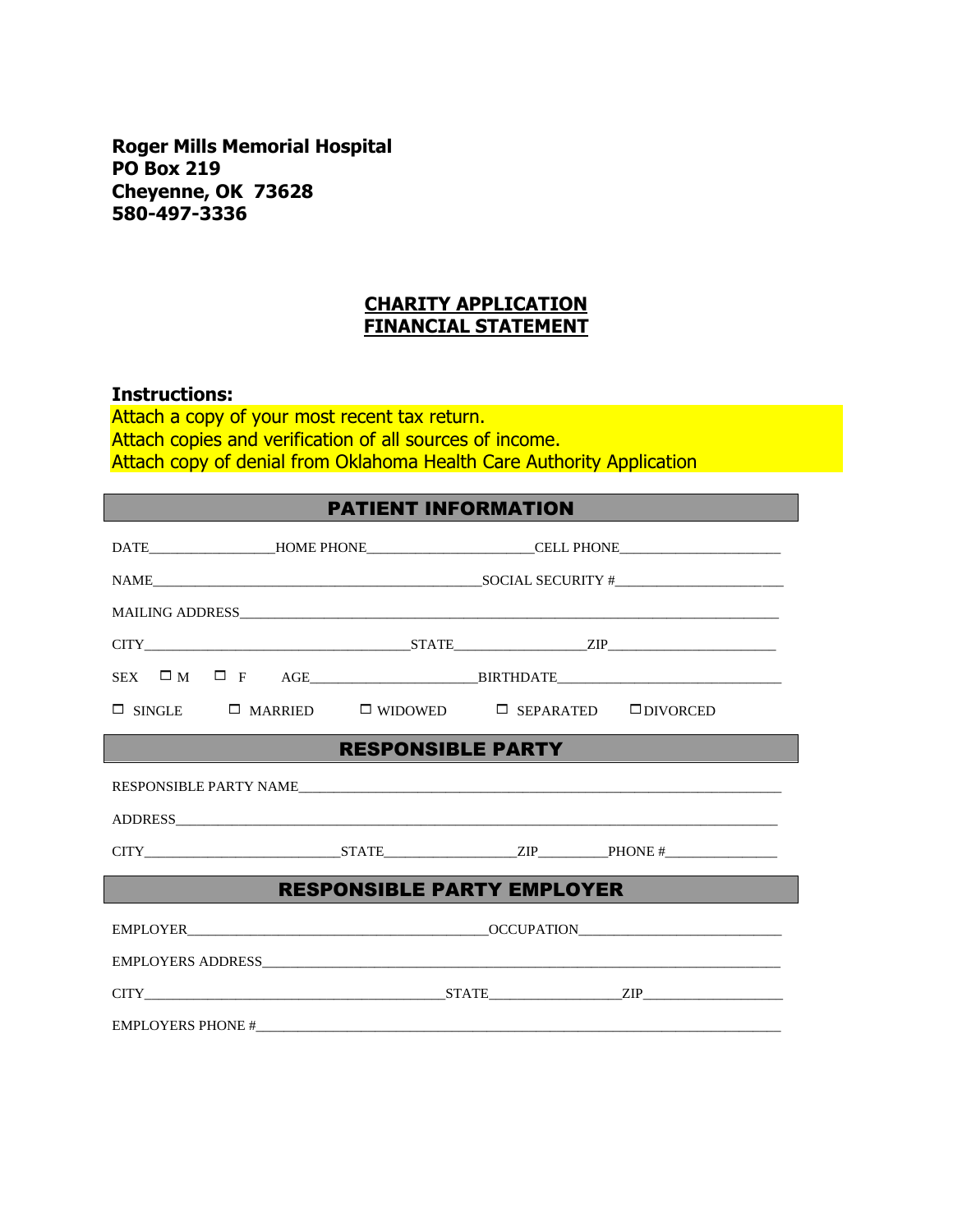**Roger Mills Memorial Hospital PO Box 219 Cheyenne, OK 73628 580-497-3336**

## **CHARITY APPLICATION FINANCIAL STATEMENT**

## **Instructions:**

Attach a copy of your most recent tax return. Attach copies and verification of all sources of income. Attach copy of denial from Oklahoma Health Care Authority Application

| <b>PATIENT INFORMATION</b>        |                                                                                                      |  |  |  |  |  |
|-----------------------------------|------------------------------------------------------------------------------------------------------|--|--|--|--|--|
|                                   | DATE_________________HOME PHONE___________________________CELL PHONE________________________________ |  |  |  |  |  |
|                                   | $NAME$ $SOCIAL SECURITY #$ $+$                                                                       |  |  |  |  |  |
|                                   |                                                                                                      |  |  |  |  |  |
|                                   |                                                                                                      |  |  |  |  |  |
|                                   |                                                                                                      |  |  |  |  |  |
|                                   | $\square$ SINGLE $\square$ MARRIED $\square$ WIDOWED $\square$ SEPARATED $\square$ DIVORCED          |  |  |  |  |  |
| <b>RESPONSIBLE PARTY</b>          |                                                                                                      |  |  |  |  |  |
|                                   |                                                                                                      |  |  |  |  |  |
|                                   |                                                                                                      |  |  |  |  |  |
|                                   |                                                                                                      |  |  |  |  |  |
| <b>RESPONSIBLE PARTY EMPLOYER</b> |                                                                                                      |  |  |  |  |  |
|                                   |                                                                                                      |  |  |  |  |  |
|                                   |                                                                                                      |  |  |  |  |  |
|                                   |                                                                                                      |  |  |  |  |  |
|                                   |                                                                                                      |  |  |  |  |  |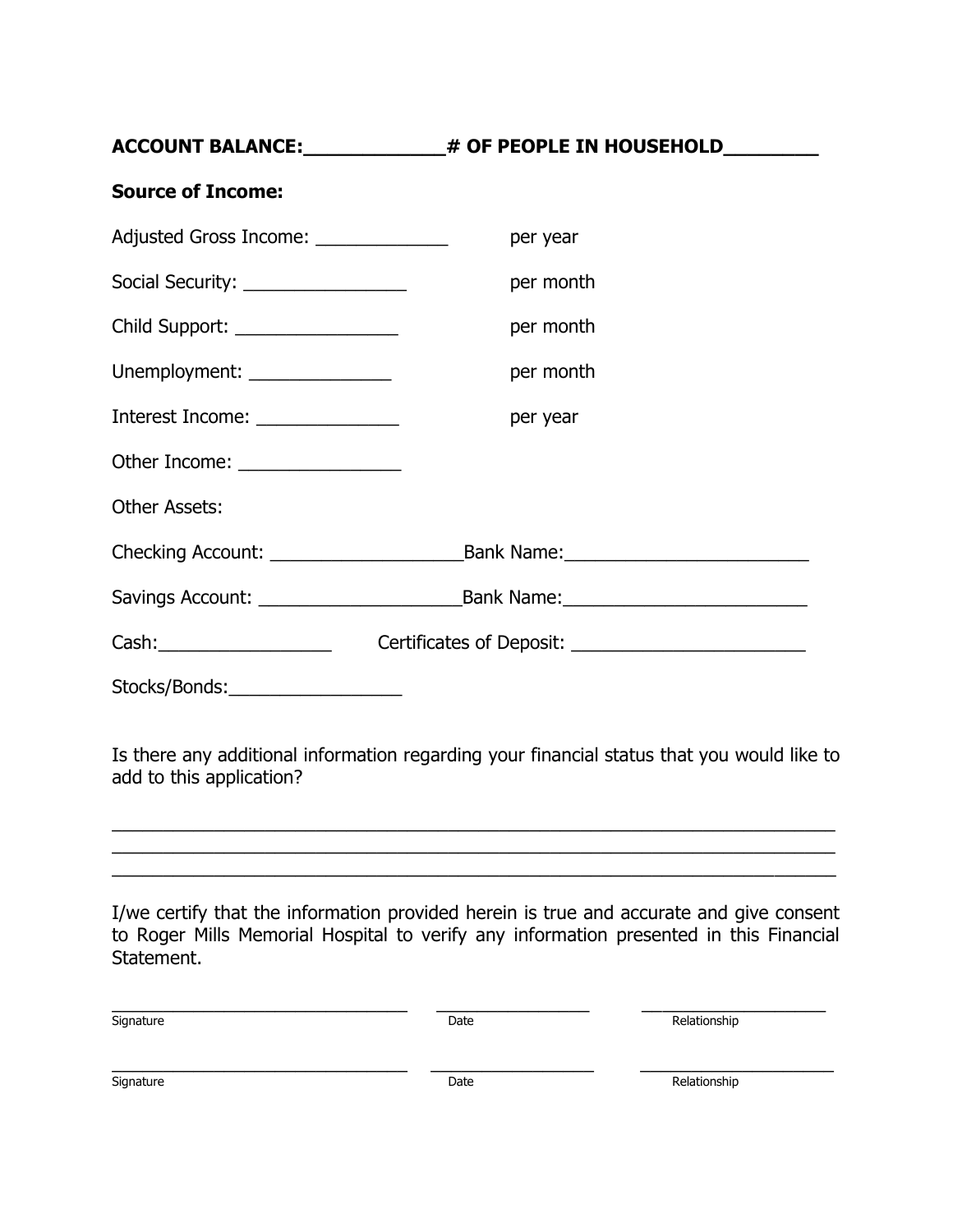| # OF PEOPLE IN HOUSEHOLD<br><b>ACCOUNT BALANCE:</b> |  |
|-----------------------------------------------------|--|

| <b>Source of Income:</b>              |                                         |  |
|---------------------------------------|-----------------------------------------|--|
| Adjusted Gross Income: ______________ | per year                                |  |
| Social Security: __________________   | per month                               |  |
| Child Support: _________________      | per month                               |  |
| Unemployment: ________________        | per month                               |  |
| Interest Income: ________________     | per year                                |  |
| Other Income: _________________       |                                         |  |
| <b>Other Assets:</b>                  |                                         |  |
|                                       | Bank Name: University of the Bank Name: |  |
|                                       |                                         |  |
|                                       |                                         |  |
| Stocks/Bonds:                         |                                         |  |

Is there any additional information regarding your financial status that you would like to add to this application?

\_\_\_\_\_\_\_\_\_\_\_\_\_\_\_\_\_\_\_\_\_\_\_\_\_\_\_\_\_\_\_\_\_\_\_\_\_\_\_\_\_\_\_\_\_\_\_\_\_\_\_\_\_\_\_\_\_\_\_\_\_\_\_\_\_\_\_\_\_\_\_  $\_$  ,  $\_$  ,  $\_$  ,  $\_$  ,  $\_$  ,  $\_$  ,  $\_$  ,  $\_$  ,  $\_$  ,  $\_$  ,  $\_$  ,  $\_$  ,  $\_$  ,  $\_$  ,  $\_$  ,  $\_$  ,  $\_$  ,  $\_$  ,  $\_$  ,  $\_$  ,  $\_$  ,  $\_$  ,  $\_$  ,  $\_$  ,  $\_$  ,  $\_$  ,  $\_$  ,  $\_$  ,  $\_$  ,  $\_$  ,  $\_$  ,  $\_$  ,  $\_$  ,  $\_$  ,  $\_$  ,  $\_$  ,  $\_$  ,

\_\_\_\_\_\_\_\_\_\_\_\_\_\_\_\_\_\_\_\_\_\_\_\_\_\_\_\_\_\_\_\_\_\_\_\_\_\_\_\_\_\_\_\_\_\_\_\_\_\_\_\_\_\_\_\_\_\_\_\_\_\_\_\_\_\_\_\_\_\_\_

I/we certify that the information provided herein is true and accurate and give consent to Roger Mills Memorial Hospital to verify any information presented in this Financial Statement.

| Signature | Date | Relationship |
|-----------|------|--------------|
|           |      |              |
|           |      |              |
|           |      |              |
| Signature | Date | Relationship |
|           |      |              |